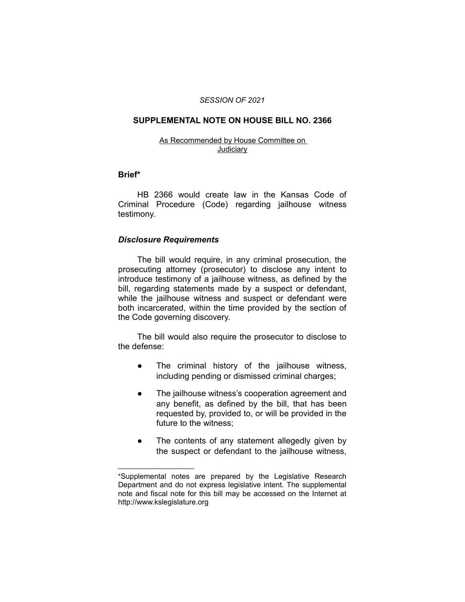#### *SESSION OF 2021*

### **SUPPLEMENTAL NOTE ON HOUSE BILL NO. 2366**

#### As Recommended by House Committee on **Judiciary**

#### **Brief\***

HB 2366 would create law in the Kansas Code of Criminal Procedure (Code) regarding jailhouse witness testimony.

## *Disclosure Requirements*

 $\overline{\phantom{a}}$  , where  $\overline{\phantom{a}}$ 

The bill would require, in any criminal prosecution, the prosecuting attorney (prosecutor) to disclose any intent to introduce testimony of a jailhouse witness, as defined by the bill, regarding statements made by a suspect or defendant, while the jailhouse witness and suspect or defendant were both incarcerated, within the time provided by the section of the Code governing discovery.

The bill would also require the prosecutor to disclose to the defense:

- The criminal history of the jailhouse witness, including pending or dismissed criminal charges;
- The jailhouse witness's cooperation agreement and any benefit, as defined by the bill, that has been requested by, provided to, or will be provided in the future to the witness;
- The contents of any statement allegedly given by the suspect or defendant to the jailhouse witness,

<sup>\*</sup>Supplemental notes are prepared by the Legislative Research Department and do not express legislative intent. The supplemental note and fiscal note for this bill may be accessed on the Internet at http://www.kslegislature.org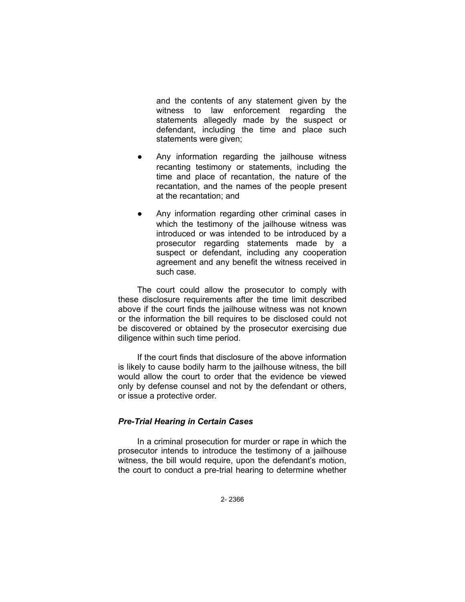and the contents of any statement given by the witness to law enforcement regarding the statements allegedly made by the suspect or defendant, including the time and place such statements were given;

- Any information regarding the jailhouse witness recanting testimony or statements, including the time and place of recantation, the nature of the recantation, and the names of the people present at the recantation; and
- Any information regarding other criminal cases in which the testimony of the jailhouse witness was introduced or was intended to be introduced by a prosecutor regarding statements made by a suspect or defendant, including any cooperation agreement and any benefit the witness received in such case.

The court could allow the prosecutor to comply with these disclosure requirements after the time limit described above if the court finds the jailhouse witness was not known or the information the bill requires to be disclosed could not be discovered or obtained by the prosecutor exercising due diligence within such time period.

If the court finds that disclosure of the above information is likely to cause bodily harm to the jailhouse witness, the bill would allow the court to order that the evidence be viewed only by defense counsel and not by the defendant or others, or issue a protective order.

# *Pre-Trial Hearing in Certain Cases*

In a criminal prosecution for murder or rape in which the prosecutor intends to introduce the testimony of a jailhouse witness, the bill would require, upon the defendant's motion, the court to conduct a pre-trial hearing to determine whether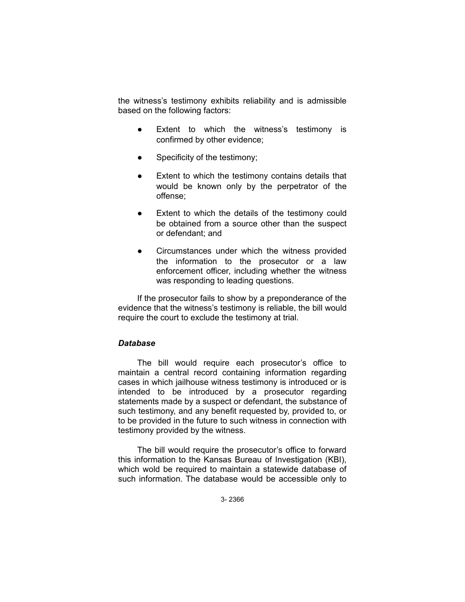the witness's testimony exhibits reliability and is admissible based on the following factors:

- Extent to which the witness's testimony is confirmed by other evidence;
- Specificity of the testimony;
- Extent to which the testimony contains details that would be known only by the perpetrator of the offense;
- Extent to which the details of the testimony could be obtained from a source other than the suspect or defendant; and
- Circumstances under which the witness provided the information to the prosecutor or a law enforcement officer, including whether the witness was responding to leading questions.

If the prosecutor fails to show by a preponderance of the evidence that the witness's testimony is reliable, the bill would require the court to exclude the testimony at trial.

# *Database*

The bill would require each prosecutor's office to maintain a central record containing information regarding cases in which jailhouse witness testimony is introduced or is intended to be introduced by a prosecutor regarding statements made by a suspect or defendant, the substance of such testimony, and any benefit requested by, provided to, or to be provided in the future to such witness in connection with testimony provided by the witness.

The bill would require the prosecutor's office to forward this information to the Kansas Bureau of Investigation (KBI), which wold be required to maintain a statewide database of such information. The database would be accessible only to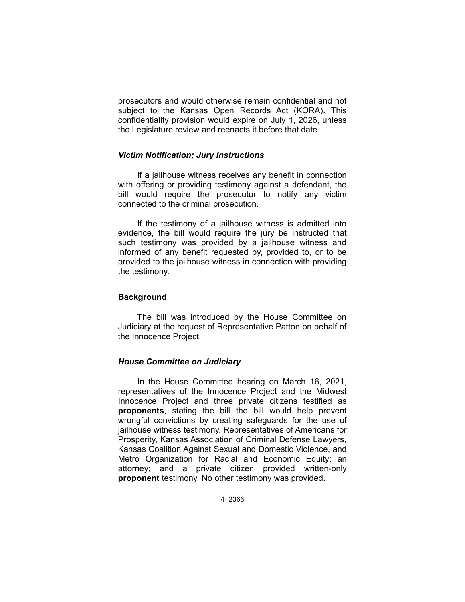prosecutors and would otherwise remain confidential and not subject to the Kansas Open Records Act (KORA). This confidentiality provision would expire on July 1, 2026, unless the Legislature review and reenacts it before that date.

## *Victim Notification; Jury Instructions*

If a jailhouse witness receives any benefit in connection with offering or providing testimony against a defendant, the bill would require the prosecutor to notify any victim connected to the criminal prosecution.

If the testimony of a jailhouse witness is admitted into evidence, the bill would require the jury be instructed that such testimony was provided by a jailhouse witness and informed of any benefit requested by, provided to, or to be provided to the jailhouse witness in connection with providing the testimony.

## **Background**

The bill was introduced by the House Committee on Judiciary at the request of Representative Patton on behalf of the Innocence Project.

# *House Committee on Judiciary*

In the House Committee hearing on March 16, 2021, representatives of the Innocence Project and the Midwest Innocence Project and three private citizens testified as **proponents**, stating the bill the bill would help prevent wrongful convictions by creating safeguards for the use of jailhouse witness testimony. Representatives of Americans for Prosperity, Kansas Association of Criminal Defense Lawyers, Kansas Coalition Against Sexual and Domestic Violence, and Metro Organization for Racial and Economic Equity; an attorney; and a private citizen provided written-only **proponent** testimony. No other testimony was provided.